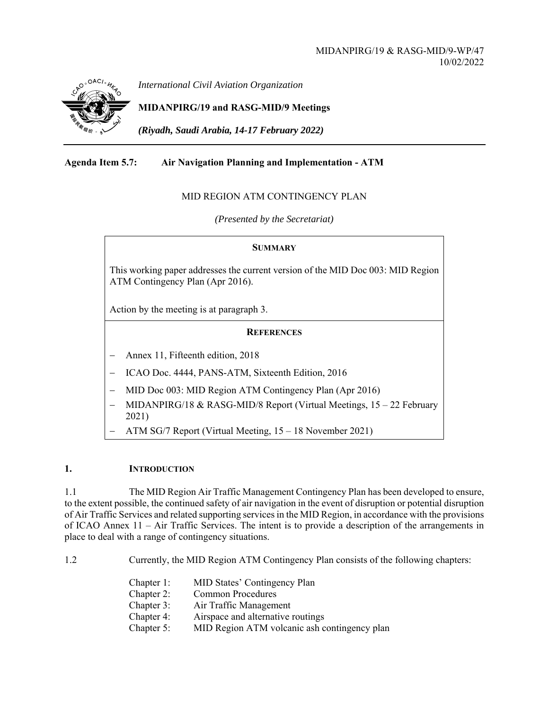

*International Civil Aviation Organization*

# **MIDANPIRG/19 and RASG-MID/9 Meetings**

*(Riyadh, Saudi Arabia, 14-17 February 2022)* 

## **Agenda Item 5.7: Air Navigation Planning and Implementation - ATM**

## MID REGION ATM CONTINGENCY PLAN

*(Presented by the Secretariat)* 

#### **SUMMARY**

This working paper addresses the current version of the MID Doc 003: MID Region ATM Contingency Plan (Apr 2016).

Action by the meeting is at paragraph 3.

## **REFERENCES**

- Annex 11, Fifteenth edition, 2018
- ICAO Doc. 4444, PANS-ATM, Sixteenth Edition, 2016
- MID Doc 003: MID Region ATM Contingency Plan (Apr 2016)
- MIDANPIRG/18 & RASG-MID/8 Report (Virtual Meetings, 15 22 February 2021)
- ATM SG/7 Report (Virtual Meeting, 15 18 November 2021)

## **1. INTRODUCTION**

1.1 The MID Region Air Traffic Management Contingency Plan has been developed to ensure, to the extent possible, the continued safety of air navigation in the event of disruption or potential disruption of Air Traffic Services and related supporting services in the MID Region, in accordance with the provisions of ICAO Annex 11 – Air Traffic Services. The intent is to provide a description of the arrangements in place to deal with a range of contingency situations.

1.2 Currently, the MID Region ATM Contingency Plan consists of the following chapters:

- Chapter 1: MID States' Contingency Plan
- Chapter 2: Common Procedures
- Chapter 3: Air Traffic Management
- Chapter 4: Airspace and alternative routings
- Chapter 5: MID Region ATM volcanic ash contingency plan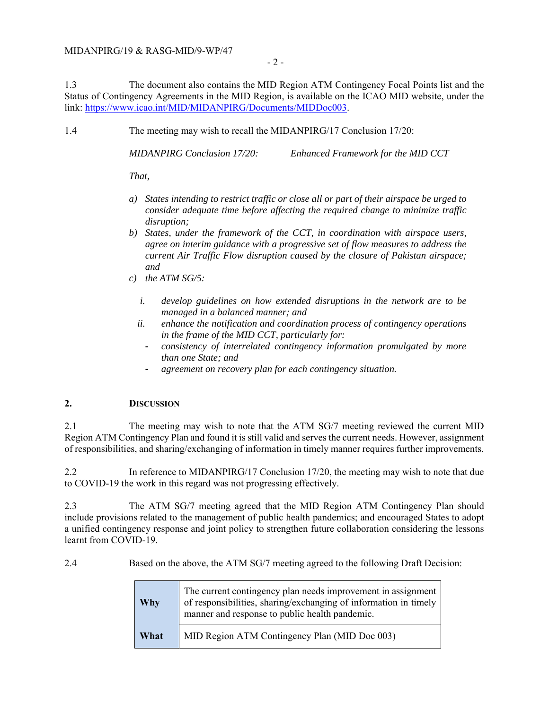- 2 -

1.3 The document also contains the MID Region ATM Contingency Focal Points list and the Status of Contingency Agreements in the MID Region, is available on the ICAO MID website, under the link: https://www.icao.int/MID/MIDANPIRG/Documents/MIDDoc003.

1.4 The meeting may wish to recall the MIDANPIRG/17 Conclusion 17/20:

*MIDANPIRG Conclusion 17/20: Enhanced Framework for the MID CCT* 

*That,* 

- *a) States intending to restrict traffic or close all or part of their airspace be urged to consider adequate time before affecting the required change to minimize traffic disruption;*
- *b) States, under the framework of the CCT, in coordination with airspace users, agree on interim guidance with a progressive set of flow measures to address the current Air Traffic Flow disruption caused by the closure of Pakistan airspace; and*
- *c) the ATM SG/5:* 
	- *i. develop guidelines on how extended disruptions in the network are to be managed in a balanced manner; and*
	- *ii. enhance the notification and coordination process of contingency operations in the frame of the MID CCT, particularly for:* 
		- *consistency of interrelated contingency information promulgated by more than one State; and*
		- *agreement on recovery plan for each contingency situation.*

## **2. DISCUSSION**

2.1 The meeting may wish to note that the ATM SG/7 meeting reviewed the current MID Region ATM Contingency Plan and found it is still valid and serves the current needs. However, assignment of responsibilities, and sharing/exchanging of information in timely manner requires further improvements.

2.2 In reference to MIDANPIRG/17 Conclusion 17/20, the meeting may wish to note that due to COVID-19 the work in this regard was not progressing effectively.

2.3 The ATM SG/7 meeting agreed that the MID Region ATM Contingency Plan should include provisions related to the management of public health pandemics; and encouraged States to adopt a unified contingency response and joint policy to strengthen future collaboration considering the lessons learnt from COVID-19.

2.4 Based on the above, the ATM SG/7 meeting agreed to the following Draft Decision:

| Why  | The current contingency plan needs improvement in assignment<br>of responsibilities, sharing/exchanging of information in timely<br>manner and response to public health pandemic. |
|------|------------------------------------------------------------------------------------------------------------------------------------------------------------------------------------|
| What | MID Region ATM Contingency Plan (MID Doc 003)                                                                                                                                      |